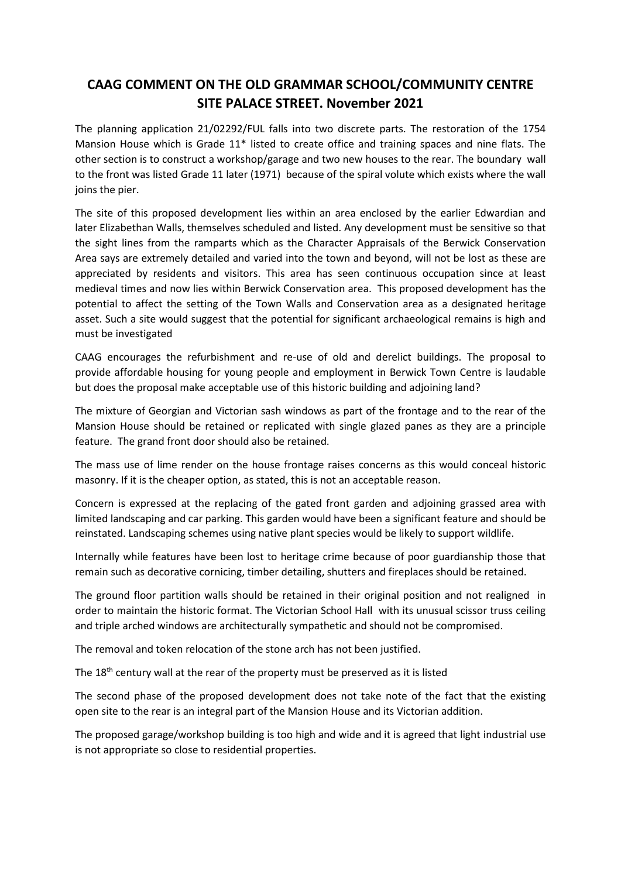## **CAAG COMMENT ON THE OLD GRAMMAR SCHOOL/COMMUNITY CENTRE SITE PALACE STREET. November 2021**

The planning application 21/02292/FUL falls into two discrete parts. The restoration of the 1754 Mansion House which is Grade 11\* listed to create office and training spaces and nine flats. The other section is to construct a workshop/garage and two new houses to the rear. The boundary wall to the front was listed Grade 11 later (1971) because of the spiral volute which exists where the wall joins the pier.

The site of this proposed development lies within an area enclosed by the earlier Edwardian and later Elizabethan Walls, themselves scheduled and listed. Any development must be sensitive so that the sight lines from the ramparts which as the Character Appraisals of the Berwick Conservation Area says are extremely detailed and varied into the town and beyond, will not be lost as these are appreciated by residents and visitors. This area has seen continuous occupation since at least medieval times and now lies within Berwick Conservation area. This proposed development has the potential to affect the setting of the Town Walls and Conservation area as a designated heritage asset. Such a site would suggest that the potential for significant archaeological remains is high and must be investigated

CAAG encourages the refurbishment and re-use of old and derelict buildings. The proposal to provide affordable housing for young people and employment in Berwick Town Centre is laudable but does the proposal make acceptable use of this historic building and adjoining land?

The mixture of Georgian and Victorian sash windows as part of the frontage and to the rear of the Mansion House should be retained or replicated with single glazed panes as they are a principle feature. The grand front door should also be retained.

The mass use of lime render on the house frontage raises concerns as this would conceal historic masonry. If it is the cheaper option, as stated, this is not an acceptable reason.

Concern is expressed at the replacing of the gated front garden and adjoining grassed area with limited landscaping and car parking. This garden would have been a significant feature and should be reinstated. Landscaping schemes using native plant species would be likely to support wildlife.

Internally while features have been lost to heritage crime because of poor guardianship those that remain such as decorative cornicing, timber detailing, shutters and fireplaces should be retained.

The ground floor partition walls should be retained in their original position and not realigned in order to maintain the historic format. The Victorian School Hall with its unusual scissor truss ceiling and triple arched windows are architecturally sympathetic and should not be compromised.

The removal and token relocation of the stone arch has not been justified.

The 18<sup>th</sup> century wall at the rear of the property must be preserved as it is listed

The second phase of the proposed development does not take note of the fact that the existing open site to the rear is an integral part of the Mansion House and its Victorian addition.

The proposed garage/workshop building is too high and wide and it is agreed that light industrial use is not appropriate so close to residential properties.